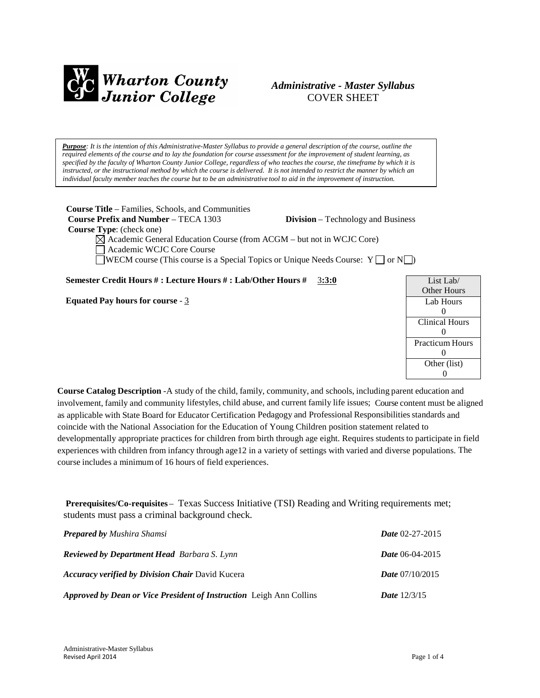

# *Administrative - Master Syllabus* COVER SHEET

Purpose: It is the intention of this Administrative-Master Syllabus to provide a general description of the course, outline the required elements of the course and to lay the foundation for course assessment for the improvement of student learning, as specified by the faculty of Wharton County Junior College, regardless of who teaches the course, the timeframe by which it is instructed, or the instructional method by which the course is delivered. It is not intended to restrict the manner by which an *individual faculty member teaches the course but to be an administrative tool to aid in the improvement of instruction.*

**Course Title** – Families, Schools, and Communities **Course Prefix and Number** – TECA 1303 **Division** – Technology and Business **Course Type**: (check one)  $\boxtimes$  Academic General Education Course (from ACGM – but not in WCJC Core) □ Academic WCJC Core Course WECM course (This course is a Special Topics or Unique Needs Course:  $Y \Box$  or  $N \Box$ )

**Semester Credit Hours # : Lecture Hours # : Lab/Other Hours #** 3**:3:0**

**Equated Pay hours for course** - 3

**Course Catalog Description** -A study of the child, family, community, and schools, including parent education and involvement, family and community lifestyles, child abuse, and current family life issues; Course content must be aligned as applicable with State Board for Educator Certification Pedagogy and Professional Responsibilitiesstandards and coincide with the National Association for the Education of Young Children position statement related to developmentally appropriate practices for children from birth through age eight. Requires students to participate in field experiences with children from infancy through age12 in a variety of settings with varied and diverse populations. The course includes a minimum of 16 hours of field experiences.

**Prerequisites/Co-requisites** – Texas Success Initiative (TSI) Reading and Writing requirements met; students must pass a criminal background check.

| <b>Prepared by Mushira Shamsi</b>                                   | <i>Date</i> $02-27-2015$ |
|---------------------------------------------------------------------|--------------------------|
| <b>Reviewed by Department Head</b> Barbara S. Lynn                  | <b>Date</b> 06-04-2015   |
| <b>Accuracy verified by Division Chair David Kucera</b>             | <i>Date</i> $07/10/2015$ |
| Approved by Dean or Vice President of Instruction Leigh Ann Collins | <b>Date</b> $12/3/15$    |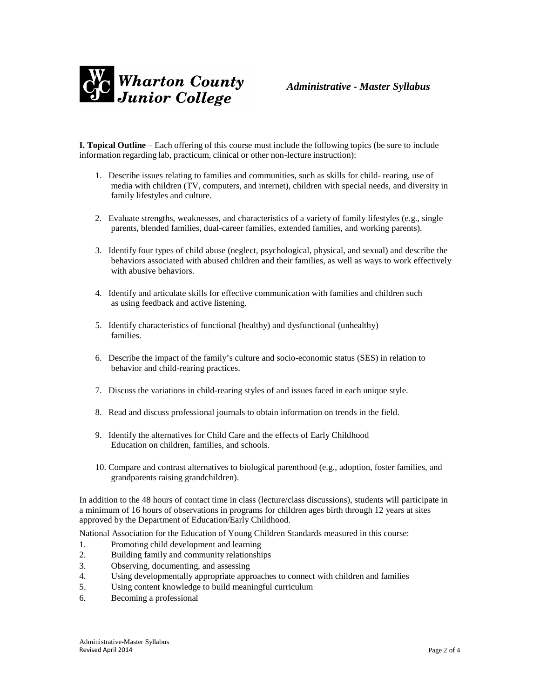

**I. Topical Outline** – Each offering of this course must include the following topics (be sure to include information regarding lab, practicum, clinical or other non-lecture instruction):

- 1. Describe issues relating to families and communities, such as skills for child- rearing, use of media with children (TV, computers, and internet), children with special needs, and diversity in family lifestyles and culture.
- 2. Evaluate strengths, weaknesses, and characteristics of a variety of family lifestyles (e.g., single parents, blended families, dual-career families, extended families, and working parents).
- 3. Identify four types of child abuse (neglect, psychological, physical, and sexual) and describe the behaviors associated with abused children and their families, as well as ways to work effectively with abusive behaviors.
- 4. Identify and articulate skills for effective communication with families and children such as using feedback and active listening.
- 5. Identify characteristics of functional (healthy) and dysfunctional (unhealthy) families.
- 6. Describe the impact of the family's culture and socio-economic status (SES) in relation to behavior and child-rearing practices.
- 7. Discuss the variations in child-rearing styles of and issues faced in each unique style.
- 8. Read and discuss professional journals to obtain information on trends in the field.
- 9. Identify the alternatives for Child Care and the effects of Early Childhood Education on children, families, and schools.
- 10. Compare and contrast alternatives to biological parenthood (e.g., adoption, foster families, and grandparents raising grandchildren).

In addition to the 48 hours of contact time in class (lecture/class discussions), students will participate in a minimum of 16 hours of observations in programs for children ages birth through 12 years at sites approved by the Department of Education/Early Childhood.

National Association for the Education of Young Children Standards measured in this course:

- 1. Promoting child development and learning
- 2. Building family and community relationships
- 3. Observing, documenting, and assessing
- 4. Using developmentally appropriate approaches to connect with children and families
- 5. Using content knowledge to build meaningful curriculum
- 6. Becoming a professional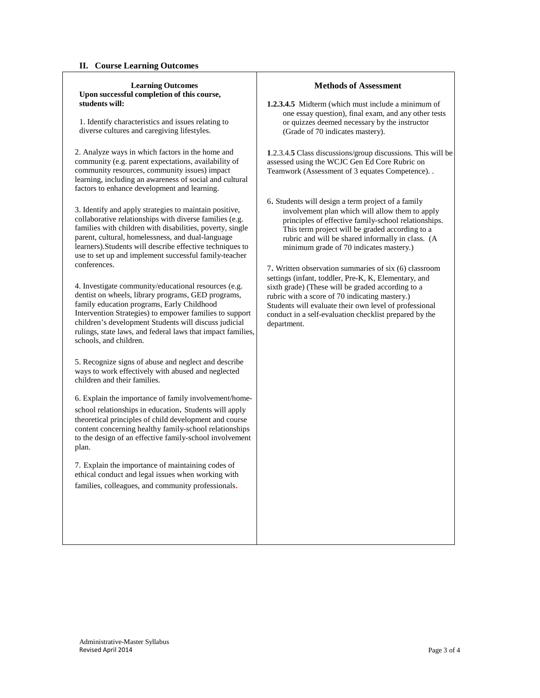#### **II. Course Learning Outcomes**

#### **Learning Outcomes Upon successful completion of this course, students will:**

1. Identify characteristics and issues relating to diverse cultures and caregiving lifestyles.

2. Analyze ways in which factors in the home and community (e.g. parent expectations, availability of community resources, community issues) impact learning, including an awareness of social and cultural factors to enhance development and learning.

3. Identify and apply strategies to maintain positive, collaborative relationships with diverse families (e.g. families with children with disabilities, poverty, single parent, cultural, homelessness, and dual-language learners).Students will describe effective techniques to use to set up and implement successful family-teacher conferences.

4. Investigate community/educational resources (e.g. dentist on wheels, library programs, GED programs, family education programs, Early Childhood Intervention Strategies) to empower families to support children's development Students will discuss judicial rulings, state laws, and federal laws that impact families, schools, and children.

5. Recognize signs of abuse and neglect and describe ways to work effectively with abused and neglected children and their families.

6. Explain the importance of family involvement/homeschool relationships in education. Students will apply theoretical principles of child development and course content concerning healthy family-school relationships to the design of an effective family-school involvement plan.

7. Explain the importance of maintaining codes of ethical conduct and legal issues when working with families, colleagues, and community professionals.

#### **Methods of Assessment**

**1.2.3.4.5** Midterm (which must include a minimum of one essay question), final exam, and any other tests or quizzes deemed necessary by the instructor (Grade of 70 indicates mastery).

**1**.2.3.4.**5** Class discussions/group discussions. This will be assessed using the WCJC Gen Ed Core Rubric on Teamwork (Assessment of 3 equates Competence). .

6. Students will design a term project of a family involvement plan which will allow them to apply principles of effective family-school relationships. This term project will be graded according to a rubric and will be shared informally in class. (A minimum grade of 70 indicates mastery.)

7. Written observation summaries of six (6) classroom settings (infant, toddler, Pre-K, K, Elementary, and sixth grade) (These will be graded according to a rubric with a score of 70 indicating mastery.) Students will evaluate their own level of professional conduct in a self-evaluation checklist prepared by the department.